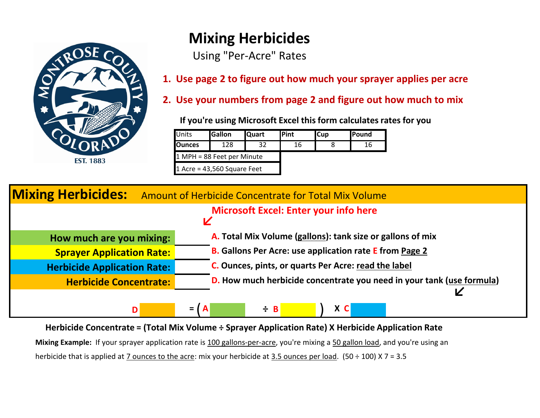

## **Mixing Herbicides**

Using "Per-Acre" Rates

**1. Use page 2 to figure out how much your sprayer applies per acre**

**2. Use your numbers from page 2 and figure out how much to mix**

 **If you're using Microsoft Excel this form calculates rates for you**

| Units                         | <b>Gallon</b>              | <b>Quart</b> | <b>IPint</b> | <b>I</b> Cup | <b>IPound</b> |
|-------------------------------|----------------------------|--------------|--------------|--------------|---------------|
| <b>Ounces</b>                 | 128                        |              | 16           |              | 16            |
|                               | 1 MPH = 88 Feet per Minute |              |              |              |               |
| 1 Acre = $43,560$ Square Feet |                            |              |              |              |               |

| <b>Mixing Herbicides:</b><br>Amount of Herbicide Concentrate for Total Mix Volume |                                                                       |  |  |  |  |  |  |  |
|-----------------------------------------------------------------------------------|-----------------------------------------------------------------------|--|--|--|--|--|--|--|
| <b>Microsoft Excel: Enter your info here</b><br>K                                 |                                                                       |  |  |  |  |  |  |  |
| How much are you mixing:                                                          | A. Total Mix Volume (gallons): tank size or gallons of mix            |  |  |  |  |  |  |  |
| <b>Sprayer Application Rate:</b>                                                  | <b>B.</b> Gallons Per Acre: use application rate E from Page 2        |  |  |  |  |  |  |  |
| <b>Herbicide Application Rate:</b>                                                | C. Ounces, pints, or quarts Per Acre: read the label                  |  |  |  |  |  |  |  |
| <b>Herbicide Concentrate:</b>                                                     | D. How much herbicide concentrate you need in your tank (use formula) |  |  |  |  |  |  |  |
|                                                                                   |                                                                       |  |  |  |  |  |  |  |
| D                                                                                 | X C<br>$\div$ B<br>I A<br>$=$                                         |  |  |  |  |  |  |  |

**Herbicide Concentrate = (Total Mix Volume ÷ Sprayer Application Rate) X Herbicide Application Rate** 

**Mixing Example:** If your sprayer application rate is 100 gallons-per-acre, you're mixing a 50 gallon load, and you're using an herbicide that is applied at 7 ounces to the acre: mix your herbicide at 3.5 ounces per load. (50 ÷ 100) X 7 = 3.5